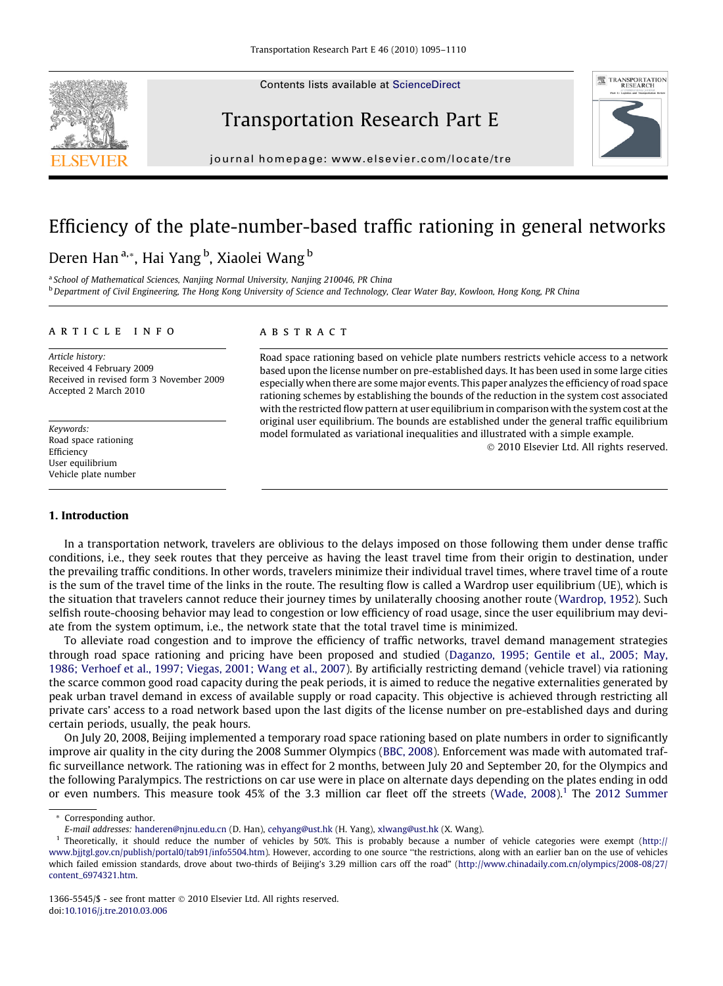Contents lists available at [ScienceDirect](http://www.sciencedirect.com/science/journal/13665545)







journal homepage: [www.elsevier.com/locate/tre](http://www.elsevier.com/locate/tre)

## Efficiency of the plate-number-based traffic rationing in general networks

### Deren Han<sup>a,</sup>\*, Hai Yang <sup>b</sup>, Xiaolei Wang <sup>b</sup>

<sup>a</sup> School of Mathematical Sciences, Nanjing Normal University, Nanjing 210046, PR China **b** Department of Civil Engineering, The Hong Kong University of Science and Technology, Clear Water Bay, Kowloon, Hong Kong, PR China

#### article info

Article history: Received 4 February 2009 Received in revised form 3 November 2009 Accepted 2 March 2010

Keywords: Road space rationing Efficiency User equilibrium Vehicle plate number

#### 1. Introduction

#### **ABSTRACT**

Road space rationing based on vehicle plate numbers restricts vehicle access to a network based upon the license number on pre-established days. It has been used in some large cities especially when there are some major events. This paper analyzes the efficiency of road space rationing schemes by establishing the bounds of the reduction in the system cost associated with the restricted flow pattern at user equilibrium in comparison with the system cost at the original user equilibrium. The bounds are established under the general traffic equilibrium model formulated as variational inequalities and illustrated with a simple example.

- 2010 Elsevier Ltd. All rights reserved.

In a transportation network, travelers are oblivious to the delays imposed on those following them under dense traffic conditions, i.e., they seek routes that they perceive as having the least travel time from their origin to destination, under the prevailing traffic conditions. In other words, travelers minimize their individual travel times, where travel time of a route is the sum of the travel time of the links in the route. The resulting flow is called a Wardrop user equilibrium (UE), which is the situation that travelers cannot reduce their journey times by unilaterally choosing another route ([Wardrop, 1952\)](#page--1-0). Such selfish route-choosing behavior may lead to congestion or low efficiency of road usage, since the user equilibrium may deviate from the system optimum, i.e., the network state that the total travel time is minimized.

To alleviate road congestion and to improve the efficiency of traffic networks, travel demand management strategies through road space rationing and pricing have been proposed and studied ([Daganzo, 1995; Gentile et al., 2005; May,](#page--1-0) [1986; Verhoef et al., 1997; Viegas, 2001; Wang et al., 2007](#page--1-0)). By artificially restricting demand (vehicle travel) via rationing the scarce common good road capacity during the peak periods, it is aimed to reduce the negative externalities generated by peak urban travel demand in excess of available supply or road capacity. This objective is achieved through restricting all private cars' access to a road network based upon the last digits of the license number on pre-established days and during certain periods, usually, the peak hours.

On July 20, 2008, Beijing implemented a temporary road space rationing based on plate numbers in order to significantly improve air quality in the city during the 2008 Summer Olympics ([BBC, 2008](#page--1-0)). Enforcement was made with automated traffic surveillance network. The rationing was in effect for 2 months, between July 20 and September 20, for the Olympics and the following Paralympics. The restrictions on car use were in place on alternate days depending on the plates ending in odd or even numbers. This measure took 45% of the 3.3 million car fleet off the streets ([Wade, 2008](#page--1-0)).<sup>1</sup> The [2012 Summer](#page--1-0)

<sup>\*</sup> Corresponding author.

E-mail addresses: [handeren@njnu.edu.cn](mailto:handeren@njnu.edu.cn) (D. Han), [cehyang@ust.hk](mailto:cehyang@ust.hk) (H. Yang), [xlwang@ust.hk](mailto:xlwang@ust.hk) (X. Wang).

<sup>1</sup> Theoretically, it should reduce the number of vehicles by 50%. This is probably because a number of vehicle categories were exempt ([http://](http://www.bjjtgl.gov.cn/publish/portal0/tab91/info5504.htm) [www.bjjtgl.gov.cn/publish/portal0/tab91/info5504.htm\)](http://www.bjjtgl.gov.cn/publish/portal0/tab91/info5504.htm). However, according to one source ''the restrictions, along with an earlier ban on the use of vehicles which failed emission standards, drove about two-thirds of Beijing's 3.29 million cars off the road" [\(http://www.chinadaily.com.cn/olympics/2008-08/27/](http://www.chinadaily.com.cn/olympics/2008-08/27/content_6974321.htm) [content\\_6974321.htm](http://www.chinadaily.com.cn/olympics/2008-08/27/content_6974321.htm).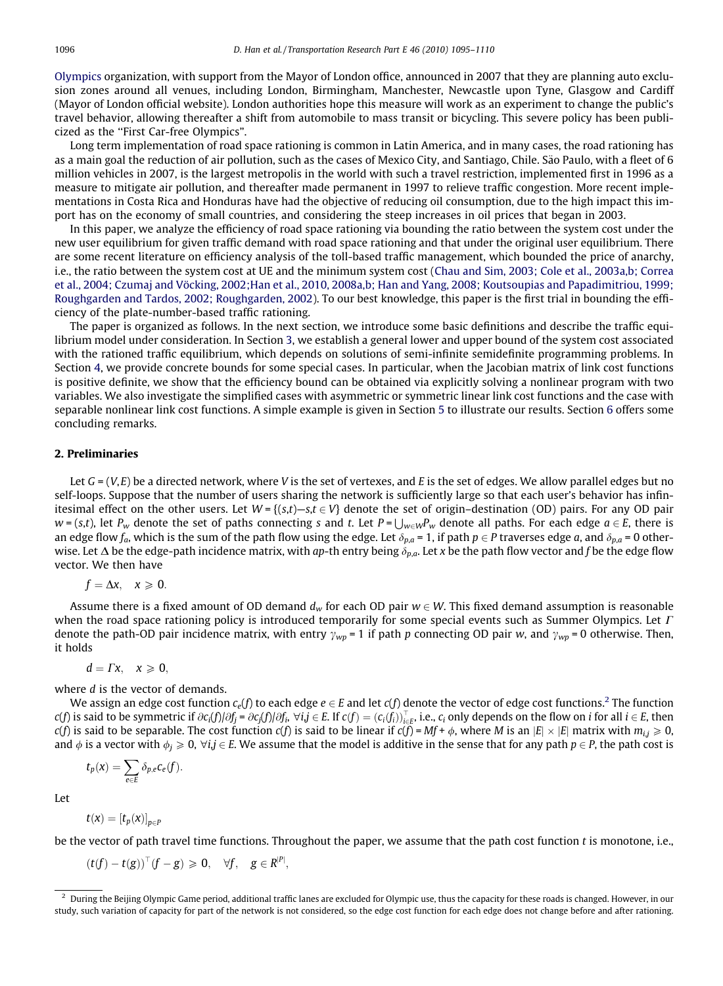[Olympics](#page--1-0) organization, with support from the Mayor of London office, announced in 2007 that they are planning auto exclusion zones around all venues, including London, Birmingham, Manchester, Newcastle upon Tyne, Glasgow and Cardiff (Mayor of London official website). London authorities hope this measure will work as an experiment to change the public's travel behavior, allowing thereafter a shift from automobile to mass transit or bicycling. This severe policy has been publicized as the ''First Car-free Olympics".

Long term implementation of road space rationing is common in Latin America, and in many cases, the road rationing has as a main goal the reduction of air pollution, such as the cases of Mexico City, and Santiago, Chile. São Paulo, with a fleet of 6 million vehicles in 2007, is the largest metropolis in the world with such a travel restriction, implemented first in 1996 as a measure to mitigate air pollution, and thereafter made permanent in 1997 to relieve traffic congestion. More recent implementations in Costa Rica and Honduras have had the objective of reducing oil consumption, due to the high impact this import has on the economy of small countries, and considering the steep increases in oil prices that began in 2003.

In this paper, we analyze the efficiency of road space rationing via bounding the ratio between the system cost under the new user equilibrium for given traffic demand with road space rationing and that under the original user equilibrium. There are some recent literature on efficiency analysis of the toll-based traffic management, which bounded the price of anarchy, i.e., the ratio between the system cost at UE and the minimum system cost [\(Chau and Sim, 2003; Cole et al., 2003a,b; Correa](#page--1-0) [et al., 2004; Czumaj and Vöcking, 2002;Han et al., 2010, 2008a,b; Han and Yang, 2008; Koutsoupias and Papadimitriou, 1999;](#page--1-0) [Roughgarden and Tardos, 2002; Roughgarden, 2002\)](#page--1-0). To our best knowledge, this paper is the first trial in bounding the efficiency of the plate-number-based traffic rationing.

The paper is organized as follows. In the next section, we introduce some basic definitions and describe the traffic equilibrium model under consideration. In Section 3, we establish a general lower and upper bound of the system cost associated with the rationed traffic equilibrium, which depends on solutions of semi-infinite semidefinite programming problems. In Section 4, we provide concrete bounds for some special cases. In particular, when the Jacobian matrix of link cost functions is positive definite, we show that the efficiency bound can be obtained via explicitly solving a nonlinear program with two variables. We also investigate the simplified cases with asymmetric or symmetric linear link cost functions and the case with separable nonlinear link cost functions. A simple example is given in Section 5 to illustrate our results. Section 6 offers some concluding remarks.

### 2. Preliminaries

Let  $G = (V, E)$  be a directed network, where V is the set of vertexes, and E is the set of edges. We allow parallel edges but no self-loops. Suppose that the number of users sharing the network is sufficiently large so that each user's behavior has infinitesimal effect on the other users. Let  $W = \{(s,t) - s, t \in V\}$  denote the set of origin-destination (OD) pairs. For any OD pair  $w = (s,t)$ , let  $P_w$  denote the set of paths connecting s and t. Let  $P = \bigcup_{w \in W} P_w$  denote all paths. For each edge  $a \in E$ , there is an edge flow  $f_a$ , which is the sum of the path flow using the edge. Let  $\delta_{p,a} = 1$ , if path  $p \in P$  traverses edge a, and  $\delta_{p,a} = 0$  otherwise. Let  $\Delta$  be the edge-path incidence matrix, with ap-th entry being  $\delta_{p,q}$ . Let x be the path flow vector and f be the edge flow vector. We then have

$$
f=\Delta x, \quad x\geqslant 0.
$$

Assume there is a fixed amount of OD demand  $d_w$  for each OD pair  $w \in W$ . This fixed demand assumption is reasonable when the road space rationing policy is introduced temporarily for some special events such as Summer Olympics. Let  $\Gamma$ denote the path-OD pair incidence matrix, with entry  $\gamma_{wp} = 1$  if path p connecting OD pair w, and  $\gamma_{wp} = 0$  otherwise. Then, it holds

$$
d=\Gamma x,\quad x\geqslant 0,
$$

where *d* is the vector of demands.

We assign an edge cost function  $c_e(f)$  to each edge  $e \in E$  and let  $c(f)$  denote the vector of edge cost functions.<sup>2</sup> The function  $c(f)$  is said to be symmetric if  $\partial c_i(f)/\partial f_j=\partial c_j(f)/\partial f_i$ ,  $\forall i,j\in E$ . If  $c(f)=(c_i(f_i))_{i\in E}^\top$ , i.e.,  $c_i$  only depends on the flow on  $i$  for all  $i\in E$ , then  $c(f)$  is said to be separable. The cost function  $c(f)$  is said to be linear if  $c(f)=Mf+\phi,$  where  $M$  is an  $|E|\times|E|$  matrix with  $m_{ij}\geqslant 0$ and  $\phi$  is a vector with  $\phi_i \ge 0$ ,  $\forall i j \in E$ . We assume that the model is additive in the sense that for any path  $p \in P$ , the path cost is

$$
t_p(x) = \sum_{e \in E} \delta_{p,e} c_e(f).
$$

Let

$$
t(x)=[t_p(x)]_{p\in P}
$$

be the vector of path travel time functions. Throughout the paper, we assume that the path cost function  $t$  is monotone, i.e.,

 $(t(f)-t(g))^\top (f-g) \geqslant 0, \quad \forall f, \quad g \in R^{|P|},$ 

<sup>2</sup> During the Beijing Olympic Game period, additional traffic lanes are excluded for Olympic use, thus the capacity for these roads is changed. However, in our study, such variation of capacity for part of the network is not considered, so the edge cost function for each edge does not change before and after rationing.